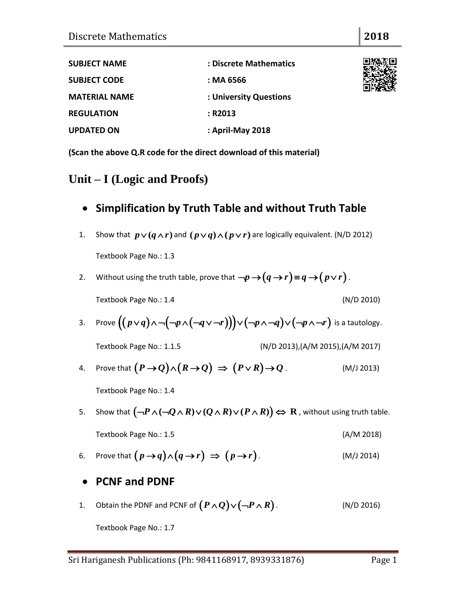| <b>SUBJECT NAME</b>  | : Discrete Mathematics |
|----------------------|------------------------|
| <b>SUBJECT CODE</b>  | : MA 6566              |
| <b>MATERIAL NAME</b> | : University Questions |
| <b>REGULATION</b>    | : R2013                |
| <b>UPDATED ON</b>    | : April-May 2018       |

**(Scan the above Q.R code for the direct download of this material)**

# **Unit – I (Logic and Proofs)**

### **Simplification by Truth Table and without Truth Table**

- 1. Show that  $p \vee (q \wedge r)$  and  $(p \vee q) \wedge (p \vee r)$  are logically equivalent. (N/D 2012) Textbook Page No.: 1.3
- 2. Without using the truth table, prove that  $\neg p \rightarrow (q \rightarrow r)$   $\equiv$   $q \rightarrow (p \vee r)$  . Textbook Page No.: 1.4 (N/D 2010)
- Textbook Page No.: 1.4 (N/D 2010)<br>3. Prove  $((p \lor q) \land \neg(\neg p \land (\neg q \lor \neg r))) \lor (\neg p \land \neg q) \lor (\neg p \land \neg r)$  is a tautology.

Textbook Page No.: 1.1.5 (N/D 2013),(A/M 2015),(A/M 2017)

4. Prove that  $(P \to Q) \land (R \to Q) \Rightarrow (P \lor R) \to Q$ . (M/J 2013)

Textbook Page No.: 1.4

- Textbook Page No.: 1.4<br>5. Show that  $\left( \neg P \land (\neg Q \land R) \lor (Q \land R) \lor (P \land R) \right) \Leftrightarrow R$  , without using truth table. Textbook Page No.: 1.5 (A/M 2018)
- 6. Prove that  $(p \rightarrow q) \land (q \rightarrow r) \Rightarrow (p \rightarrow r)$ . (M/J 2014)
- **PCNF and PDNF**
- 1. Obtain the PDNF and PCNF of  $(P \wedge Q) \vee (\neg P \wedge R)$ . (N/D 2016)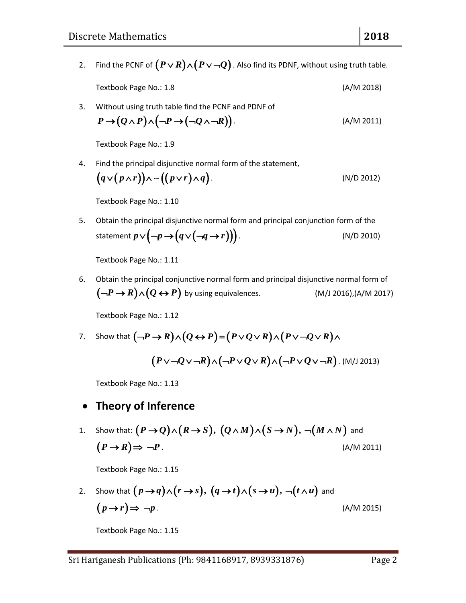- 2. Find the PCNF of  $(P \lor R) \land (P \lor \neg Q)$  . Also find its PDNF, without using truth table.
	- Textbook Page No.: 1.8 (A/M 2018)
- 

3. Without using truth table find the PCNF and PDNF of  
\n
$$
P \rightarrow (Q \land P) \land (\neg P \rightarrow (\neg Q \land \neg R)).
$$
 (A/M 2011)

Textbook Page No.: 1.9

4. Find the principal disjunctive normal form of the statement,  
\n
$$
(q \vee (p \wedge r)) \wedge \sim ((p \vee r) \wedge q).
$$
\n(N/D 2012)

Textbook Page No.: 1.10

5. Obtain the principal disjunctive normal form and principal conjunction form of the statement  $p \vee (\neg p \rightarrow (q \vee (\neg q \rightarrow r)))$ .<br>(N/D 2010)

Textbook Page No.: 1.11

6. Obtain the principal conjunctive normal form and principal disjunctive normal form of  $(-P \rightarrow R) \land (Q \leftrightarrow P)$  by using equivalences. (M/J 2016),(A/M 2017)

Textbook Page No.: 1.12

Textbook Page No.: 1.12<br>7. Show that  $(-P \to R) \land (Q \leftrightarrow P) = (P \lor Q \lor R) \land (P \lor \neg Q \lor R) \land$  $(P \vee \neg Q \vee \neg R) \wedge (\neg P \vee Q \vee R) \wedge (\neg P \vee Q \vee \neg R)$ . (M/J 2013)

Textbook Page No.: 1.13

#### **Theory of Inference**

• Theory of Inference<br>1. Show that:  $(P \to Q) \wedge (R \to S)$ ,  $(Q \wedge M) \wedge (S \to N)$ ,  $\neg(M \wedge N)$  and  $(P \rightarrow R) \Rightarrow \neg P$ . (A/M 2011)

Textbook Page No.: 1.15

Textbook Page No.: 1.15  
\n2. Show that 
$$
(p \rightarrow q) \land (r \rightarrow s)
$$
,  $(q \rightarrow t) \land (s \rightarrow u)$ ,  $\neg(t \land u)$  and  
\n $(p \rightarrow r) \Rightarrow \neg p$ .  
\n(A/M 2015)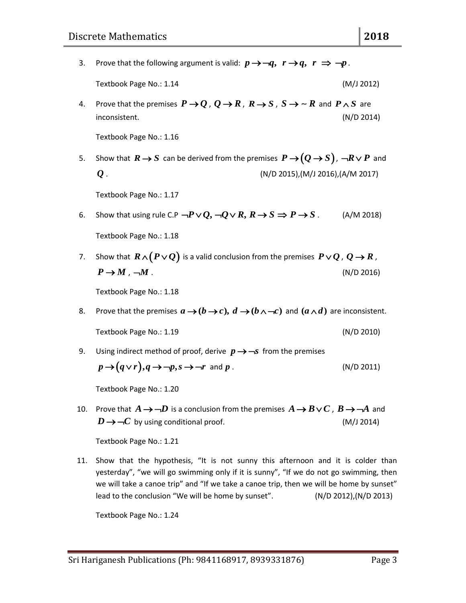- 3. Prove that the following argument is valid:  $p \rightarrow \neg q, r \rightarrow q, r \Rightarrow \neg p$ . Textbook Page No.: 1.14 (M/J 2012) 4. Prove that the premises  $P \rightarrow Q$  ,  $Q \rightarrow R$  ,  $R \rightarrow S$  ,  $S \rightarrow \sim R$  and  $P \wedge S$  are inconsistent. (N/D 2014) Textbook Page No.: 1.16 5. Show that  $R \rightarrow S$  can be derived from the premises  $P \rightarrow (Q \rightarrow S)$ ,  $\neg R \vee P$  and *Q* . (N/D 2015),(M/J 2016),(A/M 2017) Textbook Page No.: 1.17 6. Show that using rule C.P  $\neg P \lor Q$ ,  $\neg Q \lor R$ ,  $R \rightarrow S \Rightarrow P \rightarrow S$ . (A/M 2018)
- Textbook Page No.: 1.18
- 7. Show that  $R \wedge (P \vee Q)$  is a valid conclusion from the premises  $P \vee Q$  ,  $Q \rightarrow R$  ,  $P \rightarrow M$ ,  $-M$ . (N/D 2016)

Textbook Page No.: 1.18

8. Prove that the premises  $a \rightarrow (b \rightarrow c)$ ,  $d \rightarrow (b \land \neg c)$  and  $(a \land d)$  are inconsistent.

Textbook Page No.: 1.19 (N/D 2010)

9. Using indirect method of proof, derive  $p \rightarrow -s$  from the premises

$$
p \rightarrow (q \lor r), q \rightarrow \neg p, s \rightarrow \neg r \text{ and } p. \tag{N/D 2011}
$$

Textbook Page No.: 1.20

10. Prove that  $A \rightarrow -D$  is a conclusion from the premises  $A \rightarrow B \vee C$  ,  $B \rightarrow -A$  and  $D \rightarrow \neg C$  by using conditional proof. (M/J 2014)

Textbook Page No.: 1.21

11. Show that the hypothesis, "It is not sunny this afternoon and it is colder than yesterday", "we will go swimming only if it is sunny", "If we do not go swimming, then we will take a canoe trip" and "If we take a canoe trip, then we will be home by sunset" lead to the conclusion "We will be home by sunset". (N/D 2012),(N/D 2013)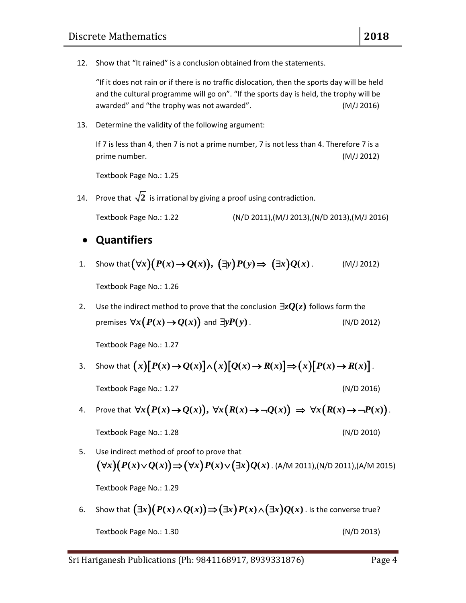12. Show that "It rained" is a conclusion obtained from the statements.

"If it does not rain or if there is no traffic dislocation, then the sports day will be held and the cultural programme will go on". "If the sports day is held, the trophy will be awarded" and "the trophy was not awarded". (M/J 2016)

13. Determine the validity of the following argument:

If 7 is less than 4, then 7 is not a prime number, 7 is not less than 4. Therefore 7 is a prime number. (M/J 2012)

Textbook Page No.: 1.25

14. Prove that  $\sqrt{2}$  is irrational by giving a proof using contradiction.

Textbook Page No.: 1.22 (N/D 2011),(M/J 2013),(N/D 2013),(M/J 2016)

#### **Quantifiers**

**4.** Show that  $(\forall x)(P(x) \rightarrow Q(x)), (\exists y)P(y) \Rightarrow (\exists x)Q(x)$ . (M/J 2012)

Textbook Page No.: 1.26

2. Use the indirect method to prove that the conclusion  $\exists z Q(z)$  follows form the premises  $\forall x (P(x) \rightarrow Q(x))$  and *yP y***( )** . (N/D 2012)

Textbook Page No.: 1.27

- Textbook Page No.: 1.27<br>3. Show that  $(x)[P(x) \to Q(x)] \wedge (x)[Q(x) \to R(x)] \Rightarrow (x)[P(x) \to R(x)]$ . Textbook Page No.: 1.27 (N/D 2016)
- 4. Prove that age No.: 1.27 (N/D 2016)<br>  $\forall x (P(x) \rightarrow Q(x)), \forall x (R(x) \rightarrow \neg Q(x)) \Rightarrow \forall x (R(x) \rightarrow \neg P(x)).$ Textbook Page No.: 1.28 (N/D 2010)
- 5. Use indirect method of proof to prove that  $(\forall x)(P(x)\lor Q(x)) \Rightarrow (\forall x)P(x)\lor (\exists x)Q(x)$ . (A/M 2011),(N/D 2011),(A/M 2015)

Textbook Page No.: 1.29

Fextbook Page No.: 1.29<br>6. Show that  $\big(\exists x\big)\big(P(x)\!\wedge\!Q(x)\big)\!\Rightarrow\!\big(\exists x\big)P(x)\!\wedge\!\big(\exists x\big)Q(x)$  . Is the converse true? Textbook Page No.: 1.30 (N/D 2013)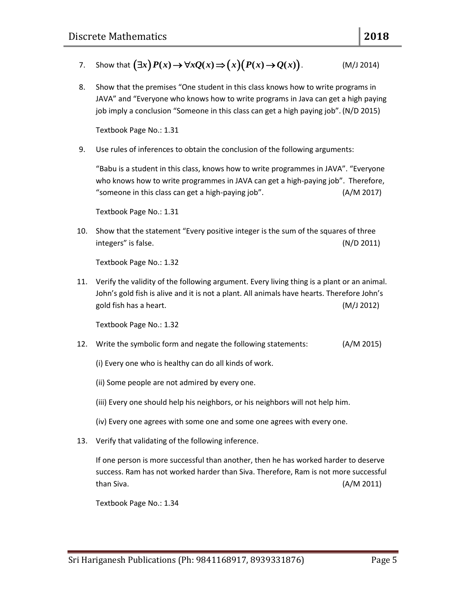8. Show that the premises "One student in this class knows how to write programs in JAVA" and "Everyone who knows how to write programs in Java can get a high paying job imply a conclusion "Someone in this class can get a high paying job". (N/D 2015)

Textbook Page No.: 1.31

9. Use rules of inferences to obtain the conclusion of the following arguments:

"Babu is a student in this class, knows how to write programmes in JAVA". "Everyone who knows how to write programmes in JAVA can get a high-paying job". Therefore, "someone in this class can get a high-paying job". (A/M 2017)

Textbook Page No.: 1.31

10. Show that the statement "Every positive integer is the sum of the squares of three integers" is false. (N/D 2011)

Textbook Page No.: 1.32

11. Verify the validity of the following argument. Every living thing is a plant or an animal. John's gold fish is alive and it is not a plant. All animals have hearts. Therefore John's gold fish has a heart. (M/J 2012)

Textbook Page No.: 1.32

- 12. Write the symbolic form and negate the following statements: (A/M 2015)
	- (i) Every one who is healthy can do all kinds of work.
	- (ii) Some people are not admired by every one.
	- (iii) Every one should help his neighbors, or his neighbors will not help him.
	- (iv) Every one agrees with some one and some one agrees with every one.
- 13. Verify that validating of the following inference.

If one person is more successful than another, then he has worked harder to deserve success. Ram has not worked harder than Siva. Therefore, Ram is not more successful than Siva. (A/M 2011)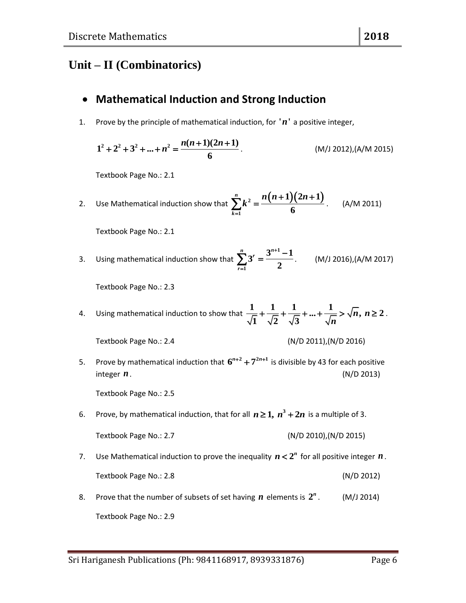# **Unit – II (Combinatorics)**

### **Mathematical Induction and Strong Induction**

1. Prove by the principle of mathematical induction, for  $'n'$  a positive integer,

$$
1^{2} + 2^{2} + 3^{2} + ... + n^{2} = \frac{n(n+1)(2n+1)}{6}.
$$
 (M/J 2012),(A/M 2015)

Textbook Page No.: 2.1

2. Use Mathematical induction show that 
$$
\sum_{k=1}^{n} k^2 = \frac{n(n+1)(2n+1)}{6}
$$
. (A/M 2011)

Textbook Page No.: 2.1

3. Using mathematical induction show that **1 1**  $3^{r} = \frac{3^{n+1}-1}{2}$ **2**  $\sum_{r=1}^{n}$   $r=3^n$ *r*  $\ddot{}$ =  $\sum_{n=1}^{n} 3^{r} = \frac{3^{n+1}-1}{2}$ . (M/J 2016),(A/M 2017)

Textbook Page No.: 2.3

4. Using mathematical induction to show that  $\frac{1}{\sqrt{1}} + \frac{1}{\sqrt{2}} + \frac{1}{\sqrt{3}} + \dots + \frac{1}{\sqrt{n}} > \sqrt{n}$ ,  $n \ge 2$  $\frac{1}{1} + \frac{1}{\sqrt{2}} + \frac{1}{\sqrt{3}}$  $+\frac{1}{\sqrt{2}}+\frac{1}{\sqrt{3}}+...+\frac{1}{\sqrt{n}}>\sqrt{n}, n\geq 2.$ 

Textbook Page No.: 2.4 (N/D 2011),(N/D 2016)

5. Prove by mathematical induction that  $6^{n+2} + 7^{2n+1}$  is divisible by 43 for each positive integer  $n$ . *n*. (N/D 2013)

Textbook Page No.: 2.5

6. Prove, by mathematical induction, that for all  $n \geq 1$ ,  $n^3 + 2n$  is a multiple of 3.

Textbook Page No.: 2.7 (N/D 2010),(N/D 2015)

- 7. Use Mathematical induction to prove the inequality  $n < 2^n$  for all positive integer  $n$ . Textbook Page No.: 2.8 (N/D 2012)
- 8. Prove that the number of subsets of set having  $n$  elements is  $2^n$ . (M/J 2014) Textbook Page No.: 2.9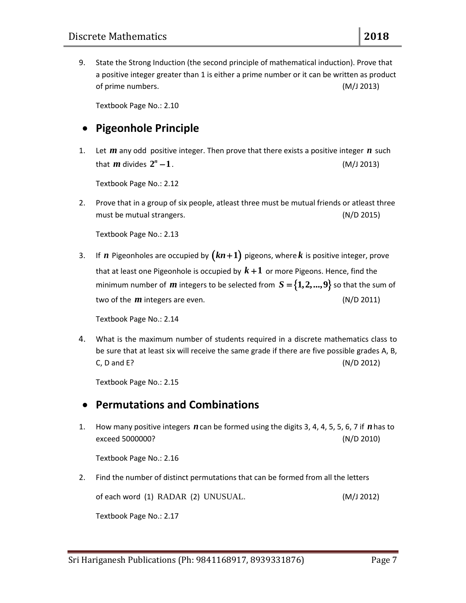9. State the Strong Induction (the second principle of mathematical induction). Prove that a positive integer greater than 1 is either a prime number or it can be written as product of prime numbers. (M/J 2013)

Textbook Page No.: 2.10

### **Pigeonhole Principle**

1. Let  $m$  any odd positive integer. Then prove that there exists a positive integer  $n$  such that  $m$  divides  $2^n - 1$ . (M/J 2013)

Textbook Page No.: 2.12

2. Prove that in a group of six people, atleast three must be mutual friends or atleast three must be mutual strangers. (N/D 2015)

Textbook Page No.: 2.13

3. If *n* Pigeonholes are occupied by  $(kn+1)$  pigeons, where *k* is positive integer, prove that at least one Pigeonhole is occupied by  $k+1$  or more Pigeons. Hence, find the minimum number of  $m$  integers to be selected from  $S = \{1, 2, ..., 9\}$  so that the sum of two of the *m* integers are even. (N/D 2011)

Textbook Page No.: 2.14

4. What is the maximum number of students required in a discrete mathematics class to be sure that at least six will receive the same grade if there are five possible grades A, B, C, D and E? (N/D 2012)

Textbook Page No.: 2.15

#### **Permutations and Combinations**

1. How many positive integers  $n$  can be formed using the digits 3, 4, 4, 5, 5, 6, 7 if  $n$  has to exceed 5000000? (N/D 2010)

Textbook Page No.: 2.16

2. Find the number of distinct permutations that can be formed from all the letters

of each word (1) RADAR (2) UNUSUAL. (M/J 2012)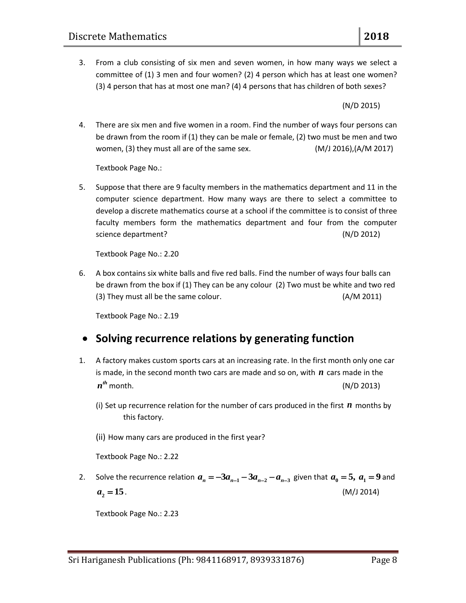3. From a club consisting of six men and seven women, in how many ways we select a committee of (1) 3 men and four women? (2) 4 person which has at least one women? (3) 4 person that has at most one man? (4) 4 persons that has children of both sexes?

(N/D 2015)

4. There are six men and five women in a room. Find the number of ways four persons can be drawn from the room if (1) they can be male or female, (2) two must be men and two women, (3) they must all are of the same sex. (M/J 2016),(A/M 2017)

Textbook Page No.:

5. Suppose that there are 9 faculty members in the mathematics department and 11 in the computer science department. How many ways are there to select a committee to develop a discrete mathematics course at a school if the committee is to consist of three faculty members form the mathematics department and four from the computer science department? (N/D 2012)

Textbook Page No.: 2.20

6. A box contains six white balls and five red balls. Find the number of ways four balls can be drawn from the box if (1) They can be any colour (2) Two must be white and two red (3) They must all be the same colour. (A/M 2011)

Textbook Page No.: 2.19

# **Solving recurrence relations by generating function**

- 1. A factory makes custom sports cars at an increasing rate. In the first month only one car is made, in the second month two cars are made and so on, with *n* cars made in the  $n^{th}$  month.  $(N/D 2013)$ 
	- (i) Set up recurrence relation for the number of cars produced in the first *n* months by this factory.
	- (ii) How many cars are produced in the first year?

Textbook Page No.: 2.22

2. Solve the recurrence relation  $a_n = -3a_{n-1} - 3a_{n-2} - a_{n-3}$  given that  $a_0 = 5$ ,  $a_1 = 9$  and  $a<sub>2</sub> = 15$ . *a* **15**. (M/J 2014)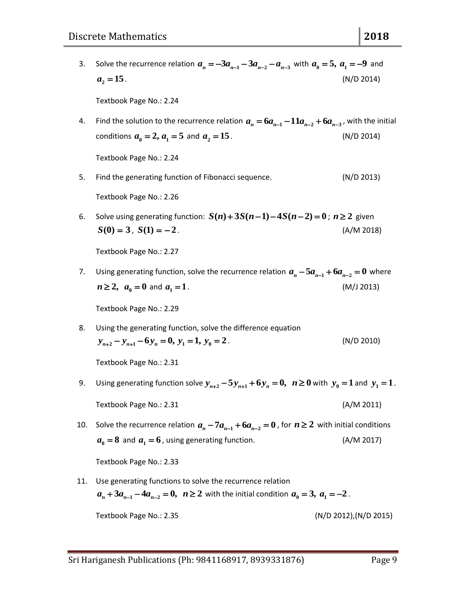- 3. Solve the recurrence relation  $a_n = -3a_{n-1} 3a_{n-2} a_{n-3}$  with  $a_0 = 5$ ,  $a_1 = -9$  and  $a_2 = 15$ . *a* **15**. (N/D 2014) Textbook Page No.: 2.24 4. Find the solution to the recurrence relation  $a_n = 6a_{n-1} - 11a_{n-2} + 6a_{n-3}$ , with the initial conditions  $a_0 = 2$ ,  $a_1 = 5$  and  $a_2$ *a* **15**. (N/D 2014) Textbook Page No.: 2.24 5. Find the generating function of Fibonacci sequence. (N/D 2013) Textbook Page No.: 2.26 6. Solve using generating function:  $S(n) + 3S(n-1) - 4S(n-2) = 0$ ;  $n \ge 2$  given  $S(0) = 3$ ,  $S(1) = -2$ . (A/M 2018) Textbook Page No.: 2.27 7. Using generating function, solve the recurrence relation  $a_n - 5a_{n-1} + 6a_{n-2} = 0$  where  $n \geq 2$ ,  $a_{0} = 0$  and  $a_{1}$ *a* **1**. (M/J 2013) Textbook Page No.: 2.29 8. Using the generating function, solve the difference equation<br>  $y_{n+2} - y_{n+1} - 6y_n = 0$ ,  $y_1 = 1$ ,  $y_0 = 2$ . (N/D 2010) Using the generating function, solve th<br>  $y_{n+2} - y_{n+1} - 6y_n = 0, y_1 = 1, y_0 = 2$ Textbook Page No.: 2.31 9. Using generating function solve  $y_{n+2} - 5y_{n+1} + 6y_n = 0$ ,  $n \ge 0$  with  $y_0 = 1$  and  $y_1 = 1$ . Textbook Page No.: 2.31 (A/M 2011) 10. Solve the recurrence relation  $a_n - 7a_{n-1} + 6a_{n-2} = 0$  , for  $n \ge 2$  with initial conditions  $a_0 = 8$  and  $a_1 = 6$ , using generating function. (A/M 2017) Textbook Page No.: 2.33
- 11. Use generating functions to solve the recurrence relation  $a_n + 3a_{n-1} - 4a_{n-2} = 0$ ,  $n \ge 2$  with the initial condition  $a_0 = 3$ ,  $a_1 = -2$ .

Textbook Page No.: 2.35 (N/D 2012),(N/D 2015)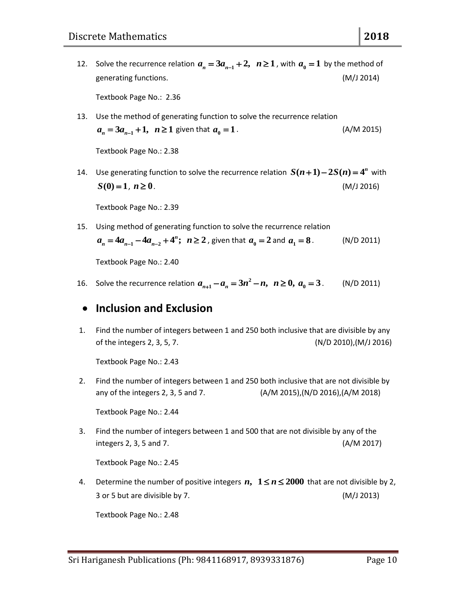- 12. Solve the recurrence relation  $a_n = 3a_{n-1} + 2$ ,  $n \ge 1$  , with  $a_0 = 1$  by the method of generating functions. (M/J 2014) Textbook Page No.: 2.36
- 13. Use the method of generating function to solve the recurrence relation  $a_n = 3a_{n-1} + 1$ ,  $n \ge 1$  given that  $a_0$ *a* **1** . (A/M 2015)

Textbook Page No.: 2.38

14. Use generating function to solve the recurrence relation  $S(n+1) - 2S(n) = 4^n$  with  $S(0) = 1, n \ge 0$ . (M/J 2016)

Textbook Page No.: 2.39

15. Using method of generating function to solve the recurrence relation **1**  $a_n = 4a_{n-1} - 4a_{n-2} + 4^n$ ;  $n \ge 2$ , given that  $a_0 = 2$  and  $a_1$ *a* **8** . (N/D 2011)

Textbook Page No.: 2.40

16. Solve the recurrence relation  $a_{n+1} - a_n = 3n^2$  $a_{n+1} - a_n = 3n^2 - n, \ \ n \ge 0, \ a_0 = 3$ . (N/D 2011)

#### **Inclusion and Exclusion**

1. Find the number of integers between 1 and 250 both inclusive that are divisible by any of the integers 2, 3, 5, 7. (N/D 2010),(M/J 2016)

Textbook Page No.: 2.43

2. Find the number of integers between 1 and 250 both inclusive that are not divisible by any of the integers 2, 3, 5 and 7. (A/M 2015),(N/D 2016),(A/M 2018)

Textbook Page No.: 2.44

3. Find the number of integers between 1 and 500 that are not divisible by any of the integers 2, 3, 5 and 7. (A/M 2017)

Textbook Page No.: 2.45

4. Determine the number of positive integers  $n, 1 \le n \le 2000$  that are not divisible by 2, 3 or 5 but are divisible by 7. (M/J 2013)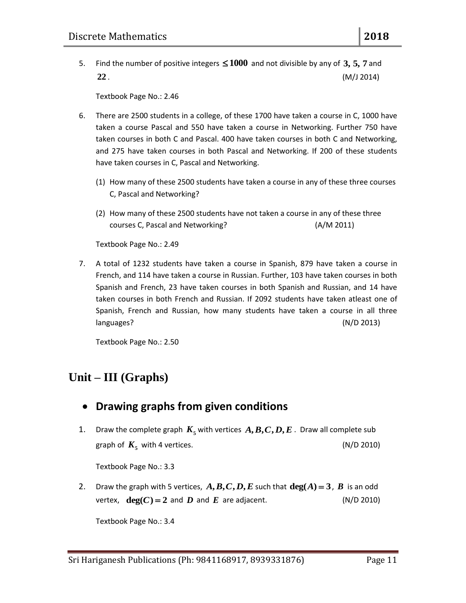5. Find the number of positive integers  $\leq 1000$  and not divisible by any of 3, 5, 7 and **22** . (M/J 2014)

Textbook Page No.: 2.46

- 6. There are 2500 students in a college, of these 1700 have taken a course in C, 1000 have taken a course Pascal and 550 have taken a course in Networking. Further 750 have taken courses in both C and Pascal. 400 have taken courses in both C and Networking, and 275 have taken courses in both Pascal and Networking. If 200 of these students have taken courses in C, Pascal and Networking.
	- (1) How many of these 2500 students have taken a course in any of these three courses C, Pascal and Networking?
	- (2) How many of these 2500 students have not taken a course in any of these three courses C, Pascal and Networking? (A/M 2011)

Textbook Page No.: 2.49

7. A total of 1232 students have taken a course in Spanish, 879 have taken a course in French, and 114 have taken a course in Russian. Further, 103 have taken courses in both Spanish and French, 23 have taken courses in both Spanish and Russian, and 14 have taken courses in both French and Russian. If 2092 students have taken atleast one of Spanish, French and Russian, how many students have taken a course in all three languages? (N/D 2013)

Textbook Page No.: 2.50

# **Unit – III (Graphs)**

#### **Drawing graphs from given conditions**

1. Draw the complete graph  $K_{5}$  with vertices  $A, B, C, D, E$  . Draw all complete sub graph of  $K<sub>5</sub>$  with 4 vertices.  $(N/D 2010)$ 

Textbook Page No.: 3.3

2. Draw the graph with 5 vertices,  $A$ ,  $B$ ,  $C$ ,  $D$ ,  $E$  such that  $deg(A) = 3$ ,  $B$  is an odd vertex,  $deg(C) = 2$  and *D* and *E* are adjacent. (N/D 2010)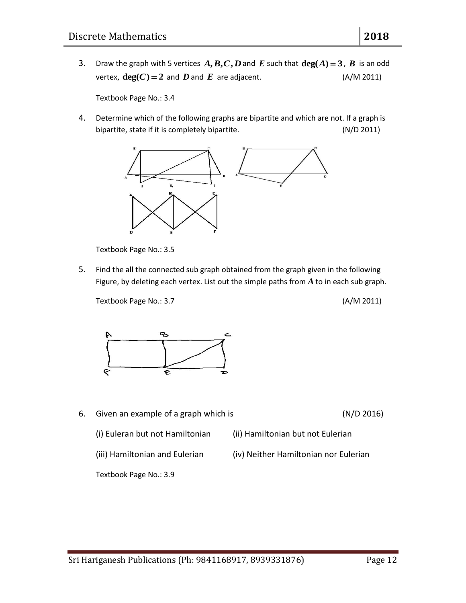3. Draw the graph with 5 vertices  $A$ ,  $B$ ,  $C$ ,  $D$  and  $E$  such that  $deg(A) = 3$ ,  $B$  is an odd vertex,  $deg(C) = 2$  and *D* and *E* are adjacent. (A/M 2011)

Textbook Page No.: 3.4

4. Determine which of the following graphs are bipartite and which are not. If a graph is bipartite, state if it is completely bipartite. (N/D 2011)



Textbook Page No.: 3.5

5. Find the all the connected sub graph obtained from the graph given in the following Figure, by deleting each vertex. List out the simple paths from *A* to in each sub graph.

Textbook Page No.: 3.7 (A/M 2011)



6. Given an example of a graph which is (N/D 2016)

(i) Euleran but not Hamiltonian (ii) Hamiltonian but not Eulerian

(iii) Hamiltonian and Eulerian (iv) Neither Hamiltonian nor Eulerian

Textbook Page No.: 3.9

Sri Hariganesh Publications (Ph: 9841168917, 8939331876) Page 12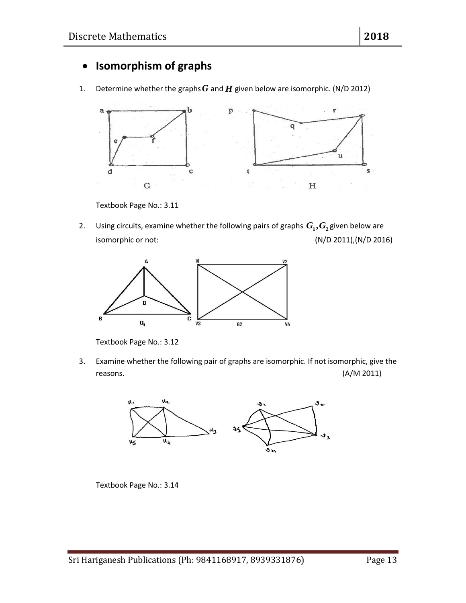## **Isomorphism of graphs**

1. Determine whether the graphs  $G$  and  $H$  given below are isomorphic. (N/D 2012)



Textbook Page No.: 3.11

2. Using circuits, examine whether the following pairs of graphs  $G_1$ ,  $G_2$  given below are isomorphic or not: (N/D 2011),(N/D 2016)



Textbook Page No.: 3.12

3. Examine whether the following pair of graphs are isomorphic. If not isomorphic, give the reasons. (A/M 2011)



Textbook Page No.: 3.14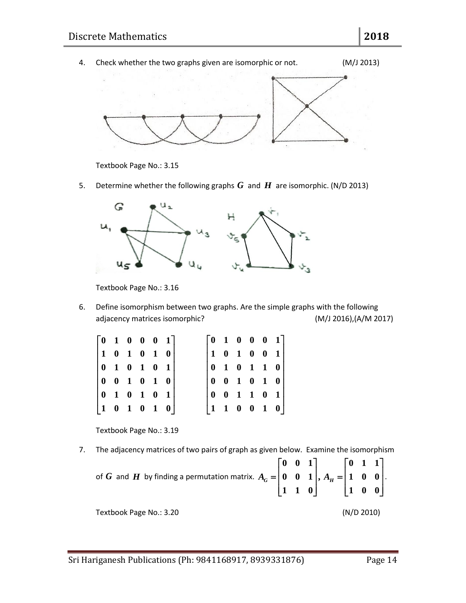

Textbook Page No.: 3.15

5. Determine whether the following graphs  $G$  and  $H$  are isomorphic. (N/D 2013)



Textbook Page No.: 3.16

6. Define isomorphism between two graphs. Are the simple graphs with the following adjacency matrices isomorphic? (M/J 2016),(A/M 2017)

|  | $\begin{bmatrix} 0 & 1 & 0 & 0 & 0 & 1 \end{bmatrix}$    |  |  |                                                                |  | $\begin{bmatrix} 0 & 1 & 0 & 0 & 0 & 1 \end{bmatrix}$ |
|--|----------------------------------------------------------|--|--|----------------------------------------------------------------|--|-------------------------------------------------------|
|  | $ 1 \t0 \t1 \t0 \t1 \t0 $                                |  |  |                                                                |  | $ 1 \t0 \t1 \t0 \t0 \t1 $                             |
|  | $\begin{bmatrix} 0 & 1 & 0 & 1 & 0 & 1 \end{bmatrix}$    |  |  | $\begin{array}{ccccccccc}\n0 & 1 & 0 & 1 & 1 & 0\n\end{array}$ |  |                                                       |
|  |                                                          |  |  | $0 \t 0 \t 1 \t 0 \t 1 \t 0$                                   |  |                                                       |
|  | $\begin{bmatrix} 0 & 1 & 0 & 1 & 0 & 1 \end{bmatrix}$    |  |  |                                                                |  |                                                       |
|  | $\begin{array}{ ccc } 1 & 0 & 1 & 0 & 1 & 0 \end{array}$ |  |  |                                                                |  | $ 1 \t1 \t0 \t0 \t1 \t0 $                             |

Textbook Page No.: 3.19

7. The adjacency matrices of two pairs of graph as given below. Examine the isomorphism of *G* and *H* by finding a permutation matrix. 
$$
A_G = \begin{bmatrix} 0 & 0 & 1 \\ 0 & 0 & 1 \\ 1 & 1 & 0 \end{bmatrix}, A_H = \begin{bmatrix} 0 & 1 & 1 \\ 1 & 0 & 0 \\ 1 & 0 & 0 \end{bmatrix}.
$$

Textbook Page No.: 3.20 (N/D 2010)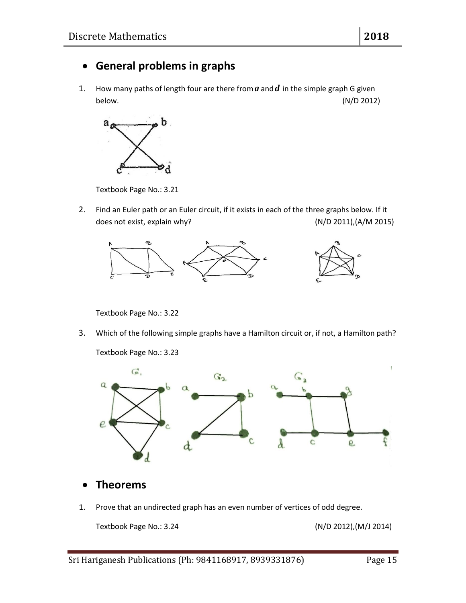# **General problems in graphs**

1. How many paths of length four are there from  $a$  and  $d$  in the simple graph G given below. (N/D 2012)



Textbook Page No.: 3.21

2. Find an Euler path or an Euler circuit, if it exists in each of the three graphs below. If it does not exist, explain why? (N/D 2011),(A/M 2015)



Textbook Page No.: 3.22

3. Which of the following simple graphs have a Hamilton circuit or, if not, a Hamilton path?

Textbook Page No.: 3.23



- **Theorems**
- 1. Prove that an undirected graph has an even number of vertices of odd degree.

Textbook Page No.: 3.24 (N/D 2012),(M/J 2014)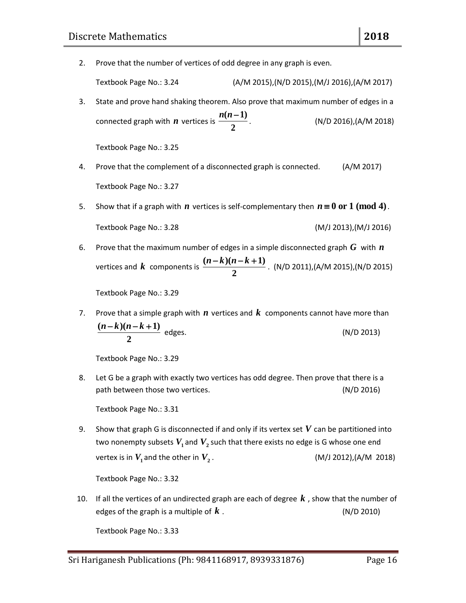2. Prove that the number of vertices of odd degree in any graph is even.

Textbook Page No.: 3.24 (A/M 2015),(N/D 2015),(M/J 2016),(A/M 2017)

3. State and prove hand shaking theorem. Also prove that maximum number of edges in a connected graph with *n* vertices is  $(n-1)$ **2** *n n* . (N/D 2016),(A/M 2018)

Textbook Page No.: 3.25

- 4. Prove that the complement of a disconnected graph is connected. (A/M 2017) Textbook Page No.: 3.27
- 5. Show that if a graph with  $n$  vertices is self-complementary then  $n \equiv 0$  or  $1 \pmod{4}$ . Textbook Page No.: 3.28 (M/J 2013),(M/J 2016)
- 6. Prove that the maximum number of edges in a simple disconnected graph  $G$  with  $n$ vertices and  $k$  components is  $\frac{(n-k)(n-k+1)}{2}$ **2**  $\frac{n-k(n-k+1)}{2}$ . (N/D 2011),(A/M 2015),(N/D 2015)

Textbook Page No.: 3.29

7. Prove that a simple graph with  $n$  vertices and  $k$  components cannot have more than  $(n-k)(n-k+1)$ **2**  $n-k$   $(n-k+1)$  $(N/D 2013)$ 

Textbook Page No.: 3.29

8. Let G be a graph with exactly two vertices has odd degree. Then prove that there is a path between those two vertices. (N/D 2016)

Textbook Page No.: 3.31

9. Show that graph G is disconnected if and only if its vertex set  $V$  can be partitioned into two nonempty subsets  $V_1$  and  $V_2$  such that there exists no edge is G whose one end vertex is in  $V^{}_1$  and the other in  $V^{}_2$ . (M/J 2012),(A/M 2018)

Textbook Page No.: 3.32

10. If all the vertices of an undirected graph are each of degree *k* , show that the number of edges of the graph is a multiple of  $k$ . *k* . (N/D 2010)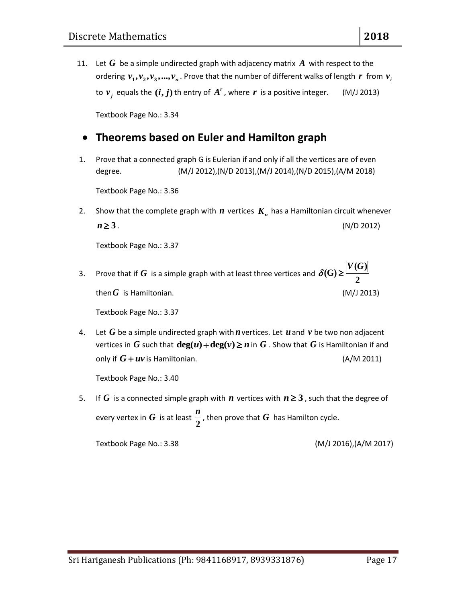11.  $G$  be a simple undirected graph with adjacency matrix  $A$  with respect to the ordering  $v_1$ ,  $v_2$ ,  $v_3$ , ...,  $v_n$ . Prove that the number of different walks of length  $r$  from  $v_i$ to  $v_j$  equals the  $(i, j)$  th entry of  $A'$  , where  $r$  is a positive integer. (M/J 2013)

Textbook Page No.: 3.34

# **Theorems based on Euler and Hamilton graph**

1. Prove that a connected graph G is Eulerian if and only if all the vertices are of even degree. (M/J 2012),(N/D 2013),(M/J 2014),(N/D 2015),(A/M 2018)

Textbook Page No.: 3.36

2. Show that the complete graph with  $n$  vertices  $K_n$  has a Hamiltonian circuit whenever  $n \ge 3$ . (N/D 2012)

Textbook Page No.: 3.37

3. Prove that if  $G$  is a simple graph with at least three vertices and **( ) (G) 2** *V G*  $\delta(G)$   $\geq$ then  $G$  is Hamiltonian.  $(M/J 2013)$ 

Textbook Page No.: 3.37

4. Let G be a simple undirected graph with  $n$  vertices. Let  $u$  and  $v$  be two non adjacent vertices in  $G$  such that  $\deg(u) + \deg(v) \geq n$  in  $G$  . Show that  $G$  is Hamiltonian if and only if  $G + uv$  is Hamiltonian.  $(A/M 2011)$ 

Textbook Page No.: 3.40

5. If  $G$  is a connected simple graph with  $n$  vertices with  $n \geq 3$  , such that the degree of every vertex in  $G$  is at least **2** *n* , then prove that  $G$  has Hamilton cycle.

Textbook Page No.: 3.38 (M/J 2016),(A/M 2017)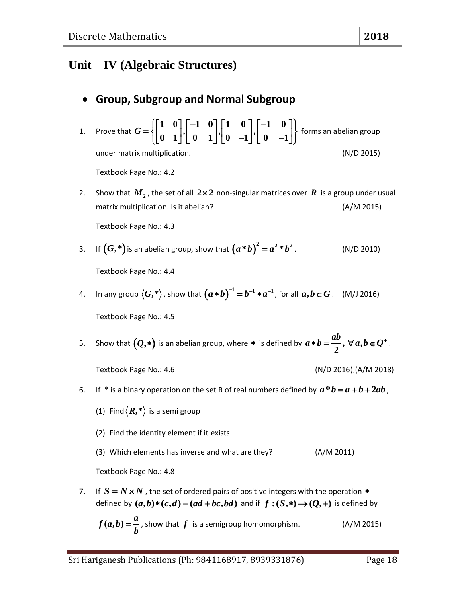# **Unit – IV (Algebraic Structures)**

# **Group, Subgroup and Normal Subgroup**

| 1. | Prove that $G = \left\{ \begin{bmatrix} 1 & 0 \\ 0 & 1 \end{bmatrix}, \begin{bmatrix} -1 & 0 \\ 0 & 1 \end{bmatrix}, \begin{bmatrix} 1 & 0 \\ 0 & -1 \end{bmatrix}, \begin{bmatrix} -1 & 0 \\ 0 & -1 \end{bmatrix} \right\}$ forms an abelian group |                             |
|----|-----------------------------------------------------------------------------------------------------------------------------------------------------------------------------------------------------------------------------------------------------|-----------------------------|
|    | under matrix multiplication.                                                                                                                                                                                                                        | (N/D 2015)                  |
|    | Textbook Page No.: 4.2                                                                                                                                                                                                                              |                             |
| 2. | Show that $M_2$ , the set of all $2\times 2$ non-singular matrices over $R$ is a group under usual<br>matrix multiplication. Is it abelian?                                                                                                         | (A/M 2015)                  |
|    | Textbook Page No.: 4.3                                                                                                                                                                                                                              |                             |
|    | 3. If $(G,*)$ is an abelian group, show that $(a*b)^2 = a^2*b^2$ .                                                                                                                                                                                  | (N/D 2010)                  |
|    | Textbook Page No.: 4.4                                                                                                                                                                                                                              |                             |
|    | 4. In any group $\langle G, * \rangle$ , show that $(a * b)^{-1} = b^{-1} * a^{-1}$ , for all $a, b \in G$ . (M/J 2016)                                                                                                                             |                             |
|    | Textbook Page No.: 4.5                                                                                                                                                                                                                              |                             |
| 5. | Show that $(Q,*)$ is an abelian group, where * is defined by $a * b = \frac{ab}{2}$ , $\forall a, b \in Q^+$ .                                                                                                                                      |                             |
|    | Textbook Page No.: 4.6                                                                                                                                                                                                                              | $(N/D 2016)$ , $(A/M 2018)$ |
| 6. | If * is a binary operation on the set R of real numbers defined by $a * b = a + b + 2ab$ ,                                                                                                                                                          |                             |
|    | (1) Find $\langle R,* \rangle$ is a semi group                                                                                                                                                                                                      |                             |
|    | (2) Find the identity element if it exists                                                                                                                                                                                                          |                             |
|    | (3) Which elements has inverse and what are they?<br>(A/M 2011)                                                                                                                                                                                     |                             |
|    | Textbook Page No.: 4.8                                                                                                                                                                                                                              |                             |
| 7. | If $S = N \times N$ , the set of ordered pairs of positive integers with the operation $*$<br>defined by $(a,b)*(c,d) = (ad+bc,bd)$ and if $f:(S,*) \rightarrow (Q,+)$ is defined by                                                                |                             |

$$
f(a,b) = \frac{a}{b}
$$
, show that f is a semigroup homomorphism. (A/M 2015)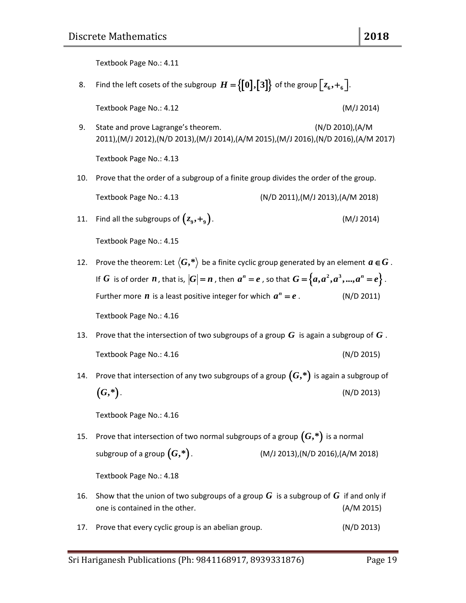Textbook Page No.: 4.11

8. Find the left cosets of the subgroup  $H = \bigl\{ \bm{0} \bigl], \bm{3} \bigr\}$  of the group  $\bigl[ z_6, +_6 \bigr].$ 

Textbook Page No.: 4.12 (M/J 2014)

- 
- 9. State and prove Lagrange's theorem. (N/D 2010),(A/M 2011),(M/J 2012),(N/D 2013),(M/J 2014),(A/M 2015),(M/J 2016),(N/D 2016),(A/M 2017) Textbook Page No.: 4.13
- 10. Prove that the order of a subgroup of a finite group divides the order of the group.

Textbook Page No.: 4.13 (N/D 2011),(M/J 2013),(A/M 2018)

11. Find all the subgroups of  $(z_9, +_9)$ . (M/J 2014)

Textbook Page No.: 4.15

- 12. Prove the theorem: Let  $\langle G, * \rangle$  be a finite cyclic group generated by an element  $a \in G$  . If  $G$  is of order  $n$  , that is,  $|G| = n$  , then  $a^n = e$  , so that  $G = \{a, a^2, a^3, ..., a^n = e\}$ . Further more  $\boldsymbol{n}$  is a least positive integer for which  $\boldsymbol{a}^{\boldsymbol{n}}$ *a e* . (N/D 2011) Textbook Page No.: 4.16
- 13. Prove that the intersection of two subgroups of a group  $G$  is again a subgroup of  $G$  . Textbook Page No.: 4.16 (N/D 2015)
- 14. Prove that intersection of any two subgroups of a group *G***,\*** is again a subgroup of *G***,\***. (N/D 2013)

Textbook Page No.: 4.16

15. Prove that intersection of two normal subgroups of a group *G***,\*** is a normal subgroup of a group  $(G,*)$ . *G***,\***. (M/J 2013),(N/D 2016),(A/M 2018)

- 16. Show that the union of two subgroups of a group  $G$  is a subgroup of  $G$  if and only if one is contained in the other. (A/M 2015)
- 17. Prove that every cyclic group is an abelian group. (N/D 2013)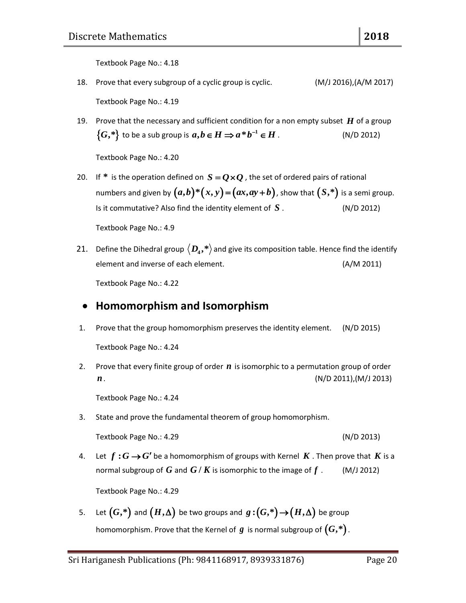Textbook Page No.: 4.18

18. Prove that every subgroup of a cyclic group is cyclic. (M/J 2016),(A/M 2017)

Textbook Page No.: 4.19

19. Prove that the necessary and sufficient condition for a non empty subset  $H$  of a group  $\{G, *\}$  to be a sub group is  $a, b \in H \Rightarrow a * b^{-1} \in H$  . (N/D 2012)

Textbook Page No.: 4.20

- 20. If  $*$  is the operation defined on  $S = Q \times Q$  , the set of ordered pairs of rational numbers and given by  $(a,b)*(x,y)=(ax,ay+b)$ , show that  $(S,*)$  is a semi group. Is it commutative? Also find the identity element of  $S$ . *S* . (N/D 2012) Textbook Page No.: 4.9
- 21. Define the Dihedral group  $\langle D_4,*\rangle$  and give its composition table. Hence find the identify element and inverse of each element. (A/M 2011)

Textbook Page No.: 4.22

#### **Homomorphism and Isomorphism**

1. Prove that the group homomorphism preserves the identity element. (N/D 2015)

Textbook Page No.: 4.24

2. Prove that every finite group of order  $n$  is isomorphic to a permutation group of order *n*. (N/D 2011),(M/J 2013)

Textbook Page No.: 4.24

3. State and prove the fundamental theorem of group homomorphism.

Textbook Page No.: 4.29 (N/D 2013)

4. Let  $f: G \rightarrow G'$  be a homomorphism of groups with Kernel  $K$  . Then prove that  $K$  is a normal subgroup of  $G$  and  $G$  /  $K$  is isomorphic to the image of *f* . (M/J 2012)

Textbook Page No.: 4.29

5. Let  $(G,*)$  and  $(H,\Delta)$  be two groups and  $g:(G,*){\,\rightarrow\,} (H,\Delta)$  be group homomorphism. Prove that the Kernel of  $g$  is normal subgroup of  $(G,^*)$  .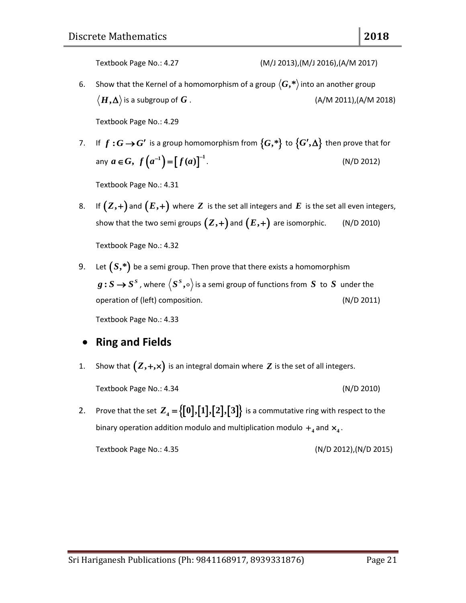6. Show that the Kernel of a homomorphism of a group  $\langle G, * \rangle$  into an another group  $\langle H, \Delta \rangle$  is a subgroup of *G* . (A/M 2011),(A/M 2018)

Textbook Page No.: 4.29

7. If  $f: G \rightarrow G'$  is a group homomorphism from  $\{G, *\}$  to  $\{G',\Delta\}$  then prove that for any  $a \in G$ ,  $f(a^{-1}) = [f(a)]^{-1}$ . (N/D 2012)

Textbook Page No.: 4.31

8. If  $(Z,+)$  and  $(E,+)$  where  $Z$  is the set all integers and  $E$  is the set all even integers, show that the two semi groups  $(Z,+)$  and  $(E,+)$  are isomorphic.  $\qquad$  (N/D 2010)

Textbook Page No.: 4.32

9. Let  $(S,*)$  be a semi group. Then prove that there exists a homomorphism  $g:S\rightarrow S^S$  , where  $\langle S^S,\circ\rangle$  is a semi group of functions from  $S$  to  $S$  under the operation of (left) composition. (N/D 2011)

Textbook Page No.: 4.33

#### **Ring and Fields**

1. Show that  $(Z, +, \times)$  is an integral domain where  $Z$  is the set of all integers.

Textbook Page No.: 4.34 (N/D 2010)

2. Prove that the set  $Z_4 = \{ [0], [1], [2], [3] \}$  is a commutative ring with respect to the binary operation addition modulo and multiplication modulo  $+$ <sub>4</sub> and  $\times$ <sub>4</sub>.

Textbook Page No.: 4.35 (N/D 2012),(N/D 2015)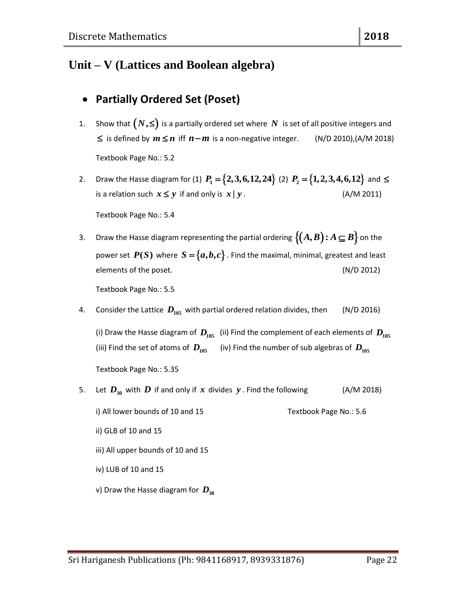# **Unit – V (Lattices and Boolean algebra)**

# **Partially Ordered Set (Poset)**

- 1. Show that  $(N,\leq)$  is a partially ordered set where  $N$  is set of all positive integers and  $\leq$  is defined by  $m \leq n$  iff  $n-m$  is a non-negative integer. (N/D 2010),(A/M 2018) Textbook Page No.: 5.2
- 2. Draw the Hasse diagram for (1)  $P_1 = \{2,3,6,12,24\}$  (2)  $P_2 = \{1,2,3,4,6,12\}$  and  $\leq$ is a relation such  $x \leq y$  if and only is *x y***|** . (A/M 2011)

Textbook Page No.: 5.4

3. Draw the Hasse diagram representing the partial ordering  $\{(A,B) : A \subseteq B\}$  on the power set  $P(S)$  where  $S = \{a,b,c\}$  . Find the maximal, minimal, greatest and least elements of the poset. (N/D 2012)

Textbook Page No.: 5.5

4. Consider the Lattice  $D_{105}$  with partial ordered relation divides, then  $($  N/D 2016)

(i) Draw the Hasse diagram of  $D_{105}$  (ii) Find the complement of each elements of  $D_{105}$ (iii) Find the set of atoms of  $\,D_{105}$  (iv) Find the number of sub algebras of  $\,D_{105}$ Textbook Page No.: 5.35

5. Let  $D_{30}$  with  $D$  if and only if  $x$  divides  $y$  . Find the following  $($ A/M 2018)

i) All lower bounds of 10 and 15 Textbook Page No.: 5.6

- ii) GLB of 10 and 15
- iii) All upper bounds of 10 and 15
- iv) LUB of 10 and 15
- **v**) Draw the Hasse diagram for  $D_{30}$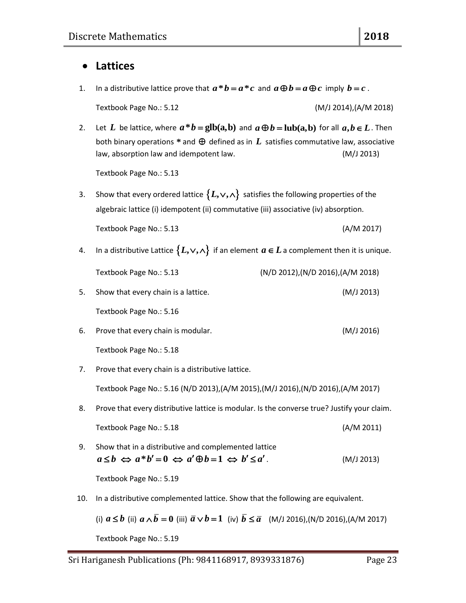#### **Lattices**

1. In a distributive lattice prove that  $a * b = a * c$  and  $a \oplus b = a \oplus c$  imply  $b = c$ .

Textbook Page No.: 5.12 (M/J 2014),(A/M 2018)

2. Let L be lattice, where  $a * b = \text{glb}(a, b)$  and  $a \oplus b = \text{lub}(a, b)$  for all  $a, b \in L$ . Then both binary operations  $*$  and  $\bigoplus$  defined as in  $L$  satisfies commutative law, associative law, absorption law and idempotent law. (M/J 2013)

Textbook Page No.: 5.13

- 3. Show that every ordered lattice  $\{L, \vee, \wedge\}$  satisfies the following properties of the algebraic lattice (i) idempotent (ii) commutative (iii) associative (iv) absorption. Textbook Page No.: 5.13 (A/M 2017)
- 4. In a distributive Lattice  $\{L, \vee, \wedge\}$  if an element  $a \in L$  a complement then it is unique.

|    | Textbook Page No.: 5.13             | $(N/D 2012)$ , $(N/D 2016)$ , $(A/M 2018)$ |
|----|-------------------------------------|--------------------------------------------|
| 5. | Show that every chain is a lattice. | (M/J 2013)                                 |
|    | Textbook Page No.: 5.16             |                                            |

- 6. Prove that every chain is modular. (M/J 2016) Textbook Page No.: 5.18
- 7. Prove that every chain is a distributive lattice.

Textbook Page No.: 5.16 (N/D 2013),(A/M 2015),(M/J 2016),(N/D 2016),(A/M 2017)

8. Prove that every distributive lattice is modular. Is the converse true? Justify your claim.

| Textbook Page No.: 5.18 | (A/M 2011) |
|-------------------------|------------|
|-------------------------|------------|

9. Show that in a distributive and complemented lattice  $a \leq b \iff a^*b' = 0 \iff a' \oplus b = 1 \iff b' \leq a'$ . (M/J 2013)

Textbook Page No.: 5.19

10. In a distributive complemented lattice. Show that the following are equivalent.

(i) 
$$
a \le b
$$
 (ii)  $a \wedge \overline{b} = 0$  (iii)  $\overline{a} \vee b = 1$  (iv)  $\overline{b} \le \overline{a}$  (M/J 2016),(N/D 2016),(A/M 2017)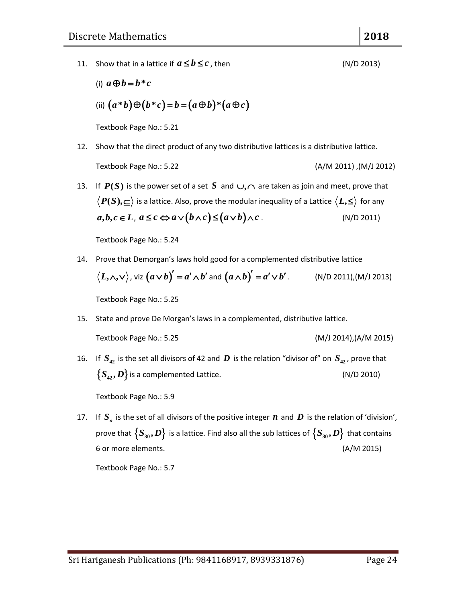11. Show that in a lattice if  $a \leq b \leq c$ 

(i) 
$$
a \oplus b = b * c
$$
  
\n(ii)  $(a * b) \oplus (b * c) = b = (a \oplus b) * (a \oplus c)$ 

Textbook Page No.: 5.21

- 12. Show that the direct product of any two distributive lattices is a distributive lattice. Textbook Page No.: 5.22 (A/M 2011) ,(M/J 2012)
- 13. If  $P(S)$  is the power set of a set S and  $\cup, \cap$  are taken as join and meet, prove that  $P(S), \subseteq \rangle$  is a lattice. Also, prove the modular inequality of a Lattice  $\langle L, \leq \rangle$  for any  $a, b, c \in L$ ,  $a \leq c \Leftrightarrow a \vee (b \wedge c) \leq (a \vee b) \wedge c$ . (N/D 2011)

Textbook Page No.: 5.24

14. Prove that Demorgan's laws hold good for a complemented distributive lattice  $\langle L,\wedge ,\vee\rangle$  , viz  $\big(a\vee b\big)'=a'\wedge b'$  and  $\big(a\wedge b\big)'=a'\vee b'\,.$  (N/D 2011),(M/J 2013)

Textbook Page No.: 5.25

15. State and prove De Morgan's laws in a complemented, distributive lattice.

Textbook Page No.: 5.25 (M/J 2014),(A/M 2015)

16. If  $S_{42}$  is the set all divisors of 42 and  $D$  is the relation "divisor of" on  $S_{42}$ , prove that  $\{S_{42}, D\}$  is a complemented Lattice. (N/D 2010)

Textbook Page No.: 5.9

17. If  $S_n$  is the set of all divisors of the positive integer  $n$  and  $D$  is the relation of 'division', prove that  $\left\{ S_{30},D\right\}$  is a lattice. Find also all the sub lattices of  $\left\{ S_{30},D\right\}$  that contains 6 or more elements. (A/M 2015)

Textbook Page No.: 5.7

 $(N/D 2013)$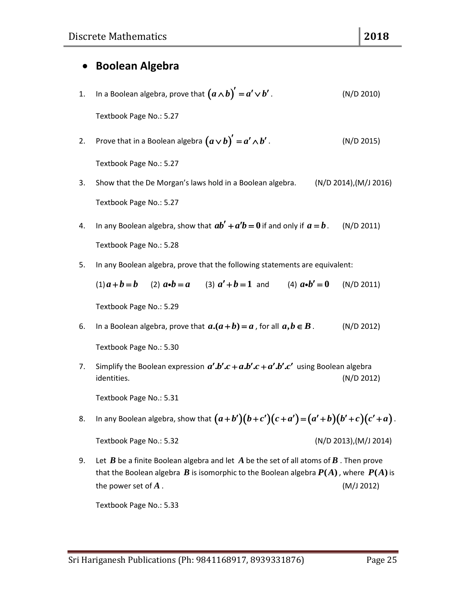### **Boolean Algebra**

- 1. In a Boolean algebra, prove that  $\big(a\,\overline{\wedge}\, b\big)' = \!a'\!\vee\! b$  . (N/D 2010) Textbook Page No.: 5.27
- 2. Prove that in a Boolean algebra  $(a \vee b)' = a' \wedge b$  . (N/D 2015) Textbook Page No.: 5.27
- 3. Show that the De Morgan's laws hold in a Boolean algebra. (N/D 2014),(M/J 2016) Textbook Page No.: 5.27
- 4. In any Boolean algebra, show that  $ab' + a'b = 0$  if and only if  $a = b$  . (N/D 2011) Textbook Page No.: 5.28
- 5. In any Boolean algebra, prove that the following statements are equivalent:

 $(1)$ **a** + **b** = **b** (2) **a**•**b** = **a** (3)  $a' + b = 1$  and (4)  $a \cdot b' = 0$ (N/D 2011) Textbook Page No.: 5.29

6. In a Boolean algebra, prove that  $a.(a + b) = a$ , for all *a b B* **,** . (N/D 2012)

Textbook Page No.: 5.30

7. Simplify the Boolean expression  $a' b'c + a b'c + a' b'c'$  using Boolean algebra identities. (N/D 2012)

Textbook Page No.: 5.31

- Textbook Page No.: 5.31<br>8. In any Boolean algebra, show that  $\big(a+b'\big)\big(b+c'\big)\big(c+a'\big)\!=\!\big(a'+b\big)\big(b'+c\big)\big(c'+a\big)$  . Textbook Page No.: 5.32 (N/D 2013),(M/J 2014)
- 9. Let  $\bm{B}$  be a finite Boolean algebra and let  $\bm{A}$  be the set of all atoms of  $\bm{B}$  . Then prove that the Boolean algebra  $B$  is isomorphic to the Boolean algebra  $P(A)$  , where  $P(A)$  is the power set of  $A$ . *A* . (M/J 2012)